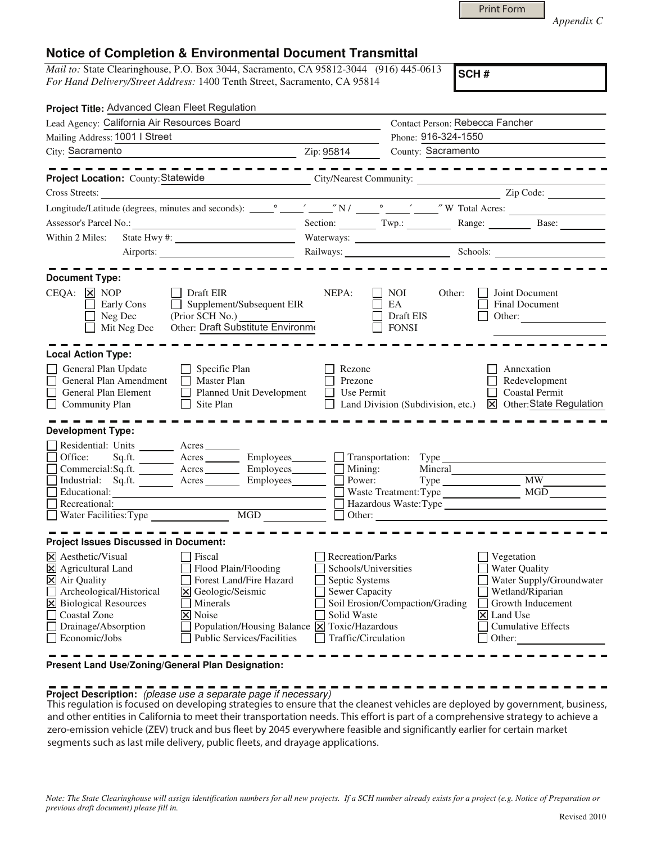|  | <b>Print Form</b> |  |
|--|-------------------|--|
|  |                   |  |

*Appendix C* 

## **Notice of Completion & Environmental Document Transmittal**

*Mail to:* State Clearinghouse, P.O. Box 3044, Sacramento, CA 95812-3044 (916) 445-0613 *For Hand Delivery/Street Address:* 1400 Tenth Street, Sacramento, CA 95814

**SCH #**

| Project Title: Advanced Clean Fleet Regulation                                                                                                                                                                                                                                                                                                        |                                                                                                                                                                    |                                                  |                                                                                                                                                     |
|-------------------------------------------------------------------------------------------------------------------------------------------------------------------------------------------------------------------------------------------------------------------------------------------------------------------------------------------------------|--------------------------------------------------------------------------------------------------------------------------------------------------------------------|--------------------------------------------------|-----------------------------------------------------------------------------------------------------------------------------------------------------|
| Lead Agency: California Air Resources Board                                                                                                                                                                                                                                                                                                           |                                                                                                                                                                    | Contact Person: Rebecca Fancher                  |                                                                                                                                                     |
| Mailing Address: 1001   Street                                                                                                                                                                                                                                                                                                                        |                                                                                                                                                                    | Phone: 916-324-1550                              |                                                                                                                                                     |
| City: Sacramento                                                                                                                                                                                                                                                                                                                                      | Zip: 95814                                                                                                                                                         | County: Sacramento                               |                                                                                                                                                     |
|                                                                                                                                                                                                                                                                                                                                                       |                                                                                                                                                                    |                                                  | -------------                                                                                                                                       |
| Project Location: County: Statewide                                                                                                                                                                                                                                                                                                                   |                                                                                                                                                                    | City/Nearest Community:                          |                                                                                                                                                     |
| Cross Streets:<br><u> 1989 - Andrea State Barbara, política e a filosofia de la provincia de la provincia de la provincia de la pro</u>                                                                                                                                                                                                               |                                                                                                                                                                    |                                                  | Zip Code:                                                                                                                                           |
|                                                                                                                                                                                                                                                                                                                                                       |                                                                                                                                                                    |                                                  |                                                                                                                                                     |
|                                                                                                                                                                                                                                                                                                                                                       |                                                                                                                                                                    |                                                  | Section: Twp.: Twp.: Range: Base: Base:                                                                                                             |
| Within 2 Miles:                                                                                                                                                                                                                                                                                                                                       |                                                                                                                                                                    |                                                  |                                                                                                                                                     |
|                                                                                                                                                                                                                                                                                                                                                       |                                                                                                                                                                    | Railways: Schools: Schools:                      |                                                                                                                                                     |
|                                                                                                                                                                                                                                                                                                                                                       |                                                                                                                                                                    |                                                  |                                                                                                                                                     |
| <b>Document Type:</b>                                                                                                                                                                                                                                                                                                                                 |                                                                                                                                                                    |                                                  |                                                                                                                                                     |
| $CEQA: \times NOP$<br>Draft EIR<br>$\Box$ Supplement/Subsequent EIR<br>Early Cons<br>(Prior SCH No.)<br>Neg Dec<br>Other: Draft Substitute Environme<br>Mit Neg Dec                                                                                                                                                                                   | NEPA:                                                                                                                                                              | NOI<br>Other:<br>EA<br>Draft EIS<br><b>FONSI</b> | Joint Document<br><b>Final Document</b><br>Other: $\qquad \qquad$                                                                                   |
| <b>Local Action Type:</b>                                                                                                                                                                                                                                                                                                                             |                                                                                                                                                                    |                                                  |                                                                                                                                                     |
| General Plan Update<br>$\Box$ Specific Plan<br>$\Box$<br>General Plan Amendment<br>Master Plan<br>General Plan Element<br>Planned Unit Development<br>$\Box$ Community Plan<br>Site Plan<br>$\mathbf{1}$                                                                                                                                              | Rezone<br>Prezone<br>Use Permit                                                                                                                                    | Land Division (Subdivision, etc.)                | Annexation<br>Redevelopment<br><b>Coastal Permit</b><br>$\overline{\boxtimes}$ Other:State Regulation                                               |
| <b>Development Type:</b>                                                                                                                                                                                                                                                                                                                              |                                                                                                                                                                    |                                                  |                                                                                                                                                     |
| Residential: Units _________ Acres _______<br>Sq.ft. _________ Acres __________ Employees________ ___] Transportation: Type _____________________<br>Office:<br>Commercial:Sq.ft. _________ Acres __________ Employees________<br>Industrial: Sq.ft. Acres Employees<br>Educational:<br>Recreational:                                                 | $\Box$ Mining:<br>MGD                                                                                                                                              | Power:<br>Type MW<br>Hazardous Waste:Type        |                                                                                                                                                     |
| <b>Project Issues Discussed in Document:</b>                                                                                                                                                                                                                                                                                                          |                                                                                                                                                                    |                                                  |                                                                                                                                                     |
| $ \mathsf{X} $ Aesthetic/Visual<br>Fiscal<br>X Agricultural Land<br>Flood Plain/Flooding<br>X Air Quality<br>Forest Land/Fire Hazard<br>Archeological/Historical<br>Geologic/Seismic<br>$\times$<br>X Biological Resources<br>Minerals<br><b>Coastal Zone</b><br>X Noise<br>Drainage/Absorption<br><b>Public Services/Facilities</b><br>Economic/Jobs | Recreation/Parks<br>Schools/Universities<br>Septic Systems<br>Sewer Capacity<br>Solid Waste<br>Population/Housing Balance X Toxic/Hazardous<br>Traffic/Circulation | Soil Erosion/Compaction/Grading<br>Ι×Ι           | Vegetation<br>Water Quality<br>Water Supply/Groundwater<br>Wetland/Riparian<br>Growth Inducement<br>Land Use<br><b>Cumulative Effects</b><br>Other: |
| Present Land Use/Zoning/General Plan Designation:                                                                                                                                                                                                                                                                                                     |                                                                                                                                                                    |                                                  |                                                                                                                                                     |

## **Project Description:** (please use a separate page if necessary)

 This regulation is focused on developing strategies to ensure that the cleanest vehicles are deployed by government, business, and other entities in California to meet their transportation needs. This effort is part of a comprehensive strategy to achieve a zero-emission vehicle (ZEV) truck and bus fleet by 2045 everywhere feasible and significantly earlier for certain market segments such as last mile delivery, public fleets, and drayage applications.